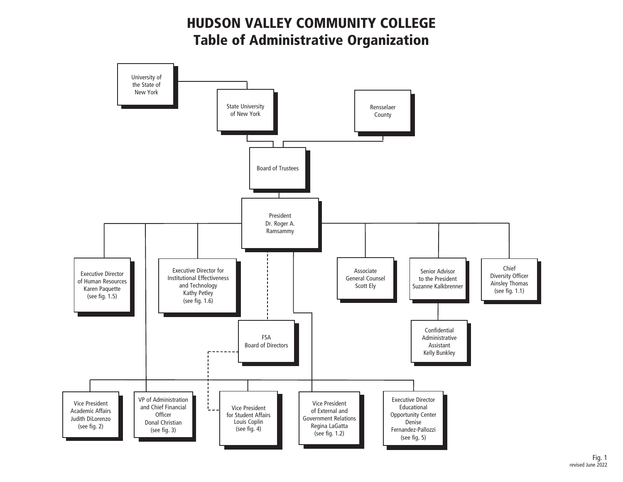HUDSON VALLEY COMMUNITY COLLEGE Table of Administrative Organization

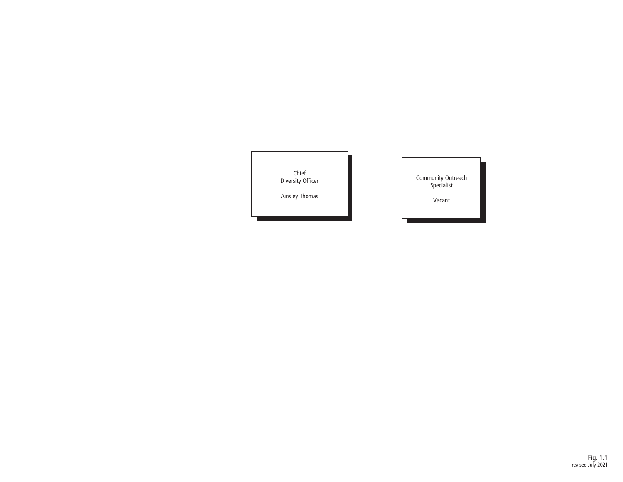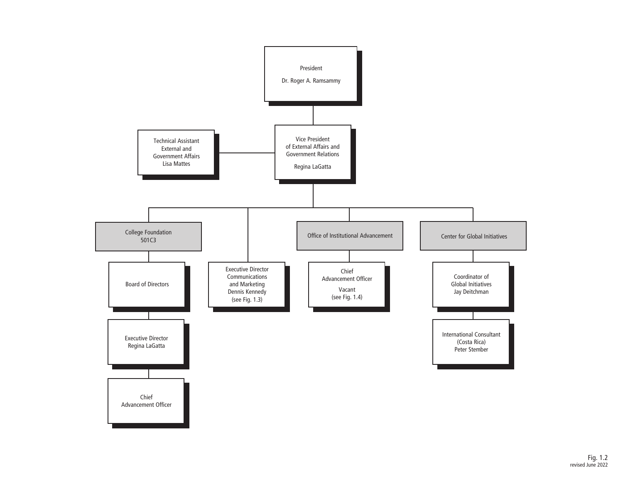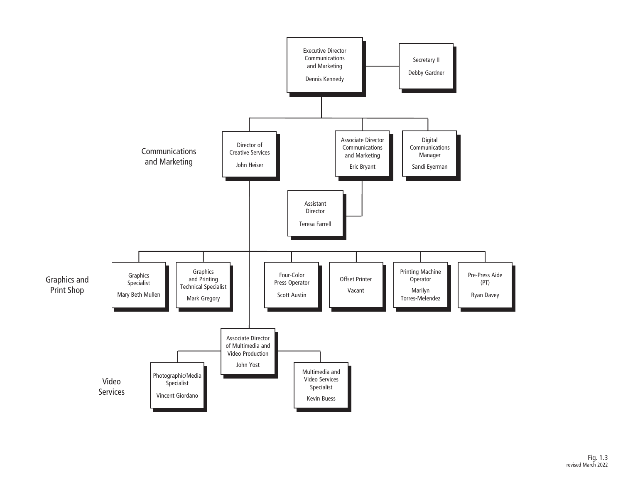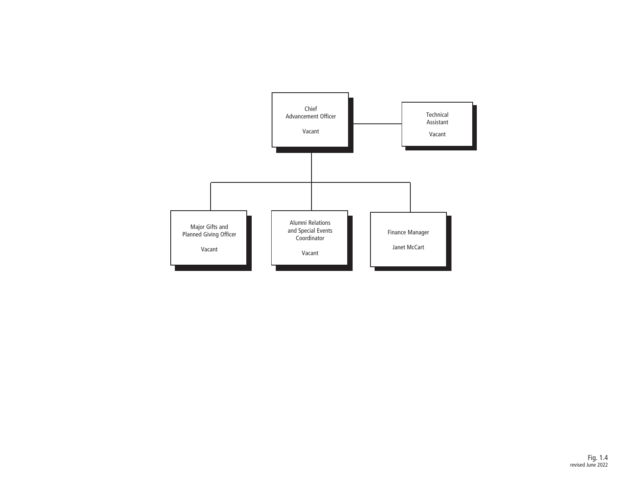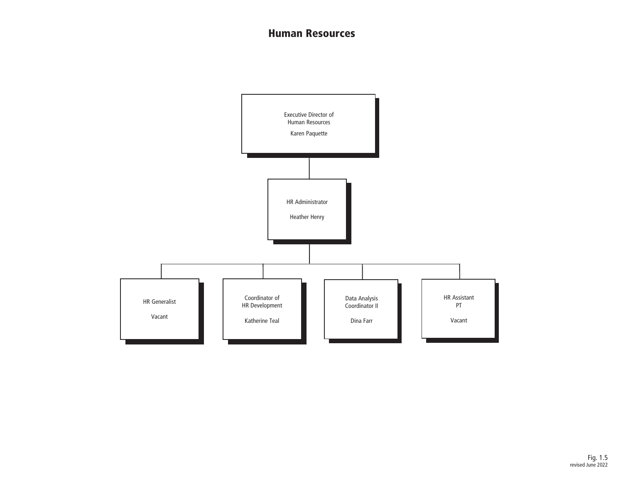#### Human Resources

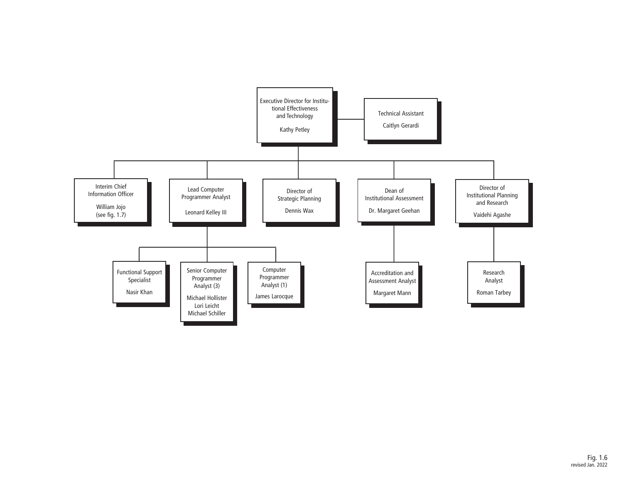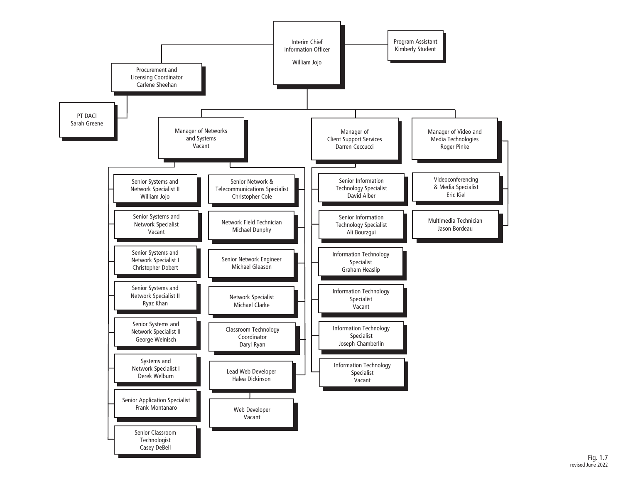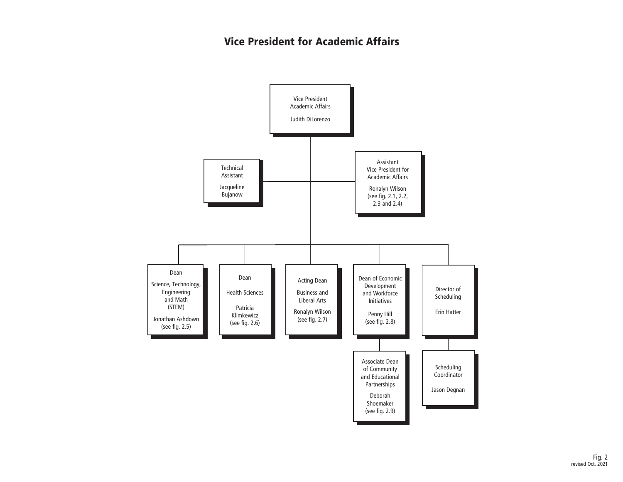### Vice President for Academic Affairs

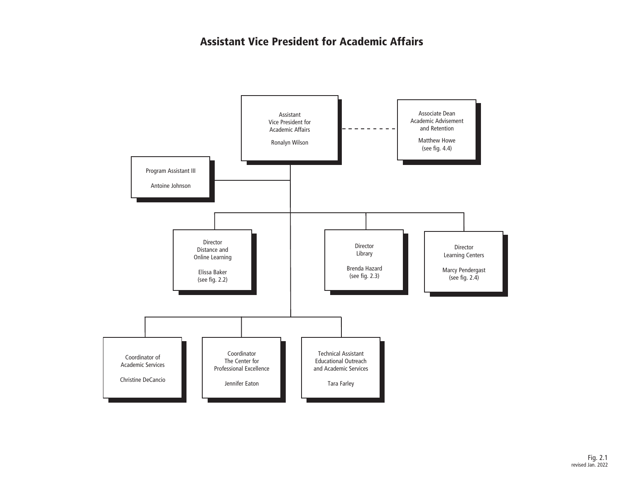### Assistant Vice President for Academic Affairs

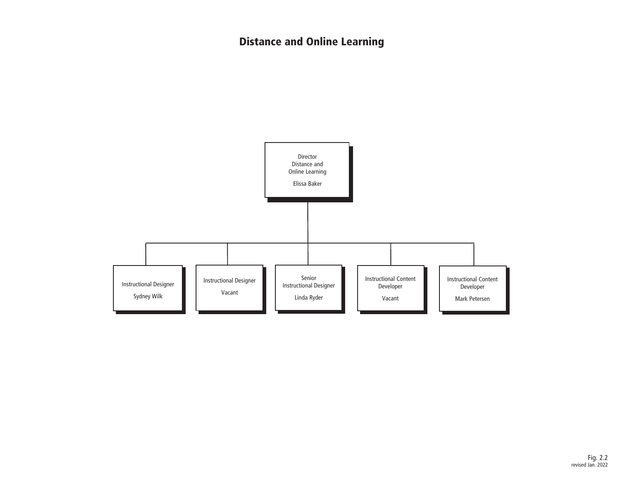# Distance and Online Learning

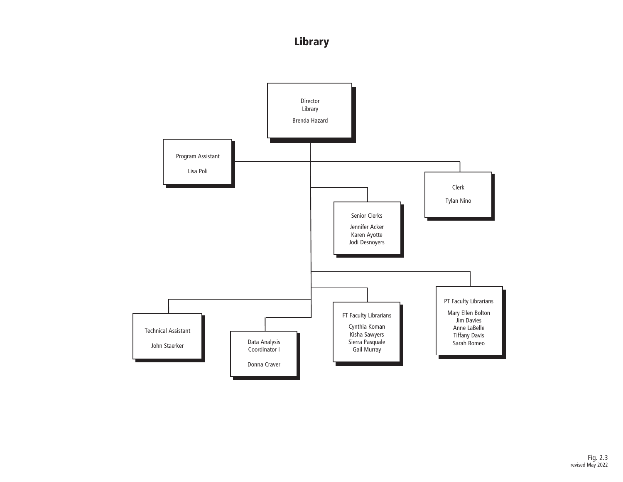## Library

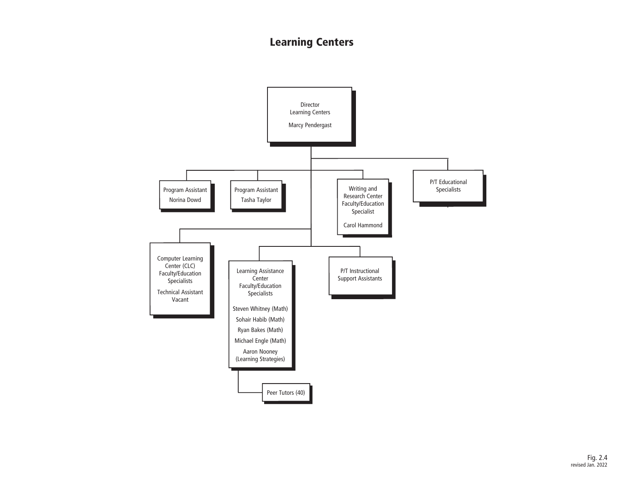## Learning Centers

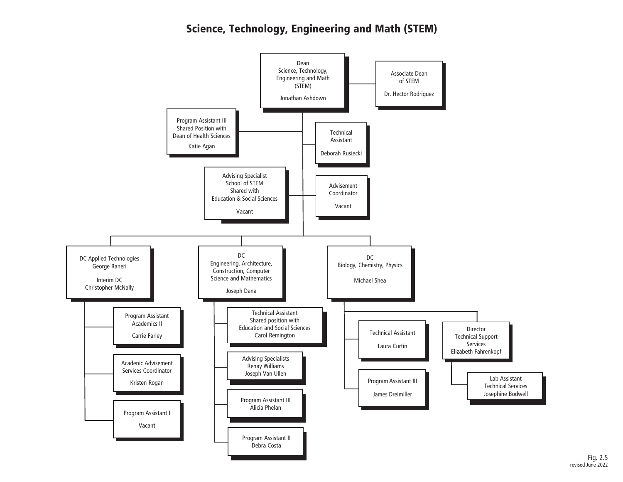### Science, Technology, Engineering and Math (STEM)

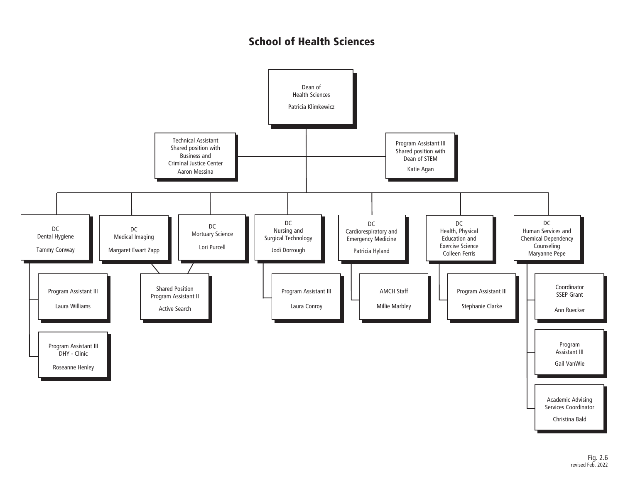### School of Health Sciences

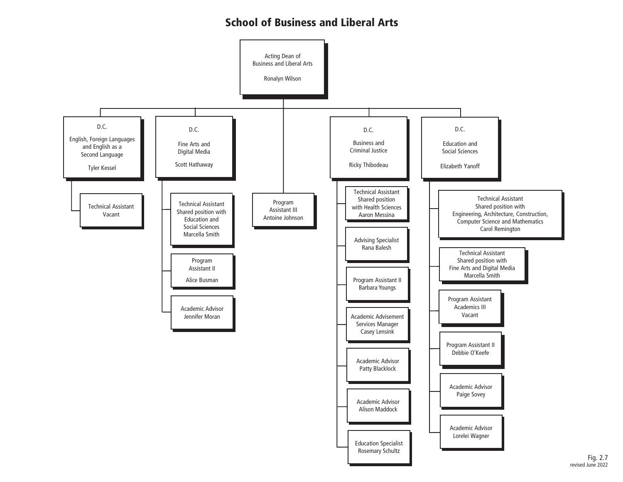#### School of Business and Liberal Arts

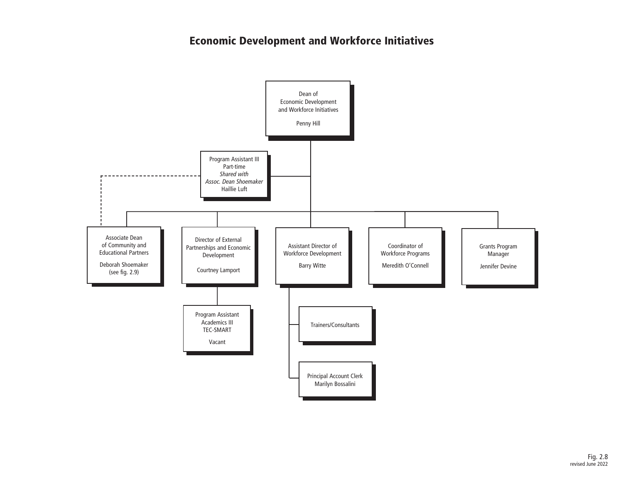### Economic Development and Workforce Initiatives

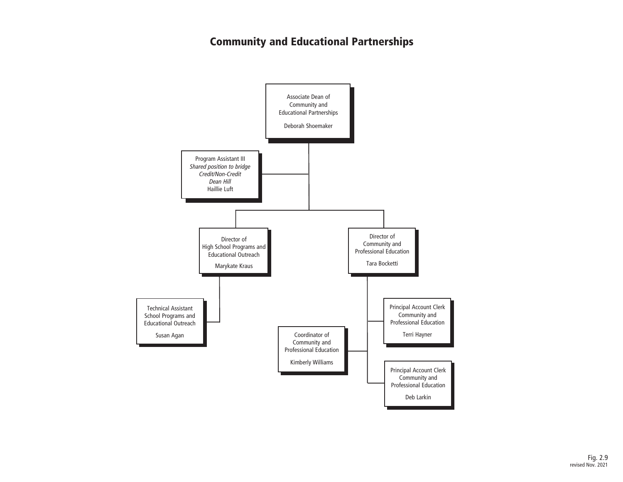### Community and Educational Partnerships

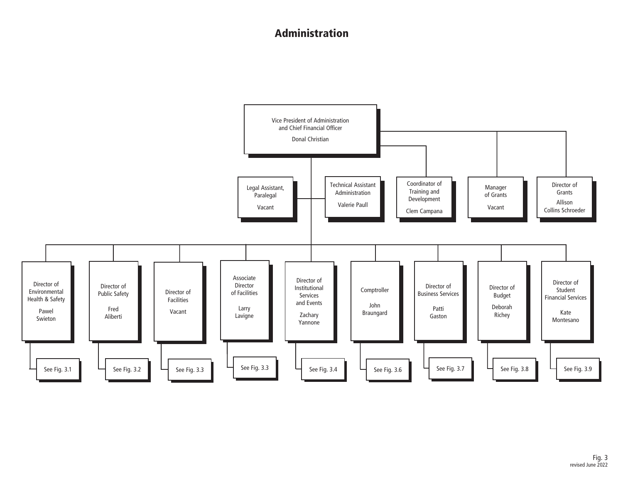### Administration

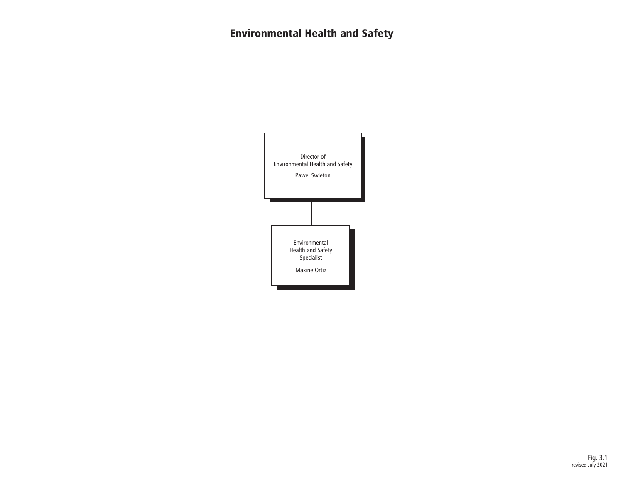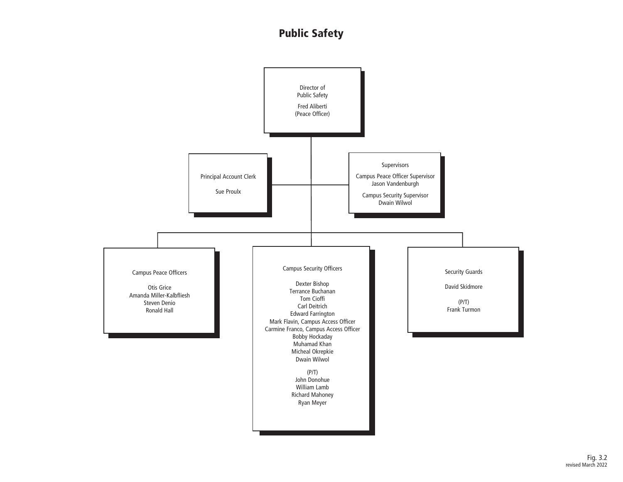### Public Safety

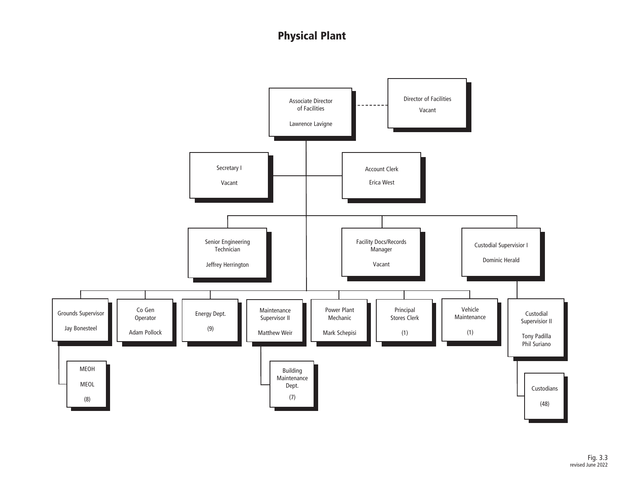## Physical Plant

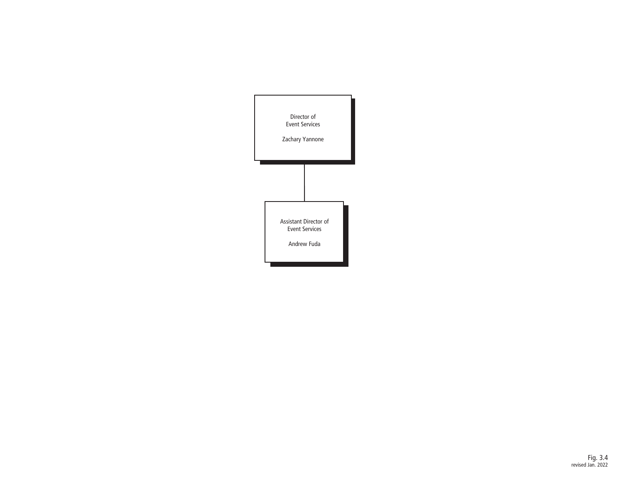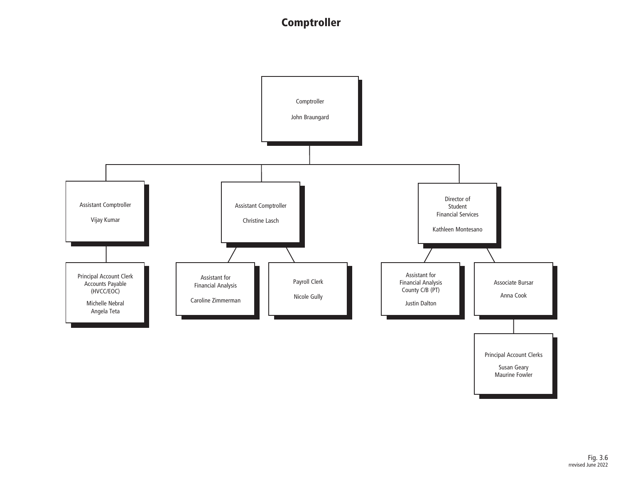### **Comptroller**

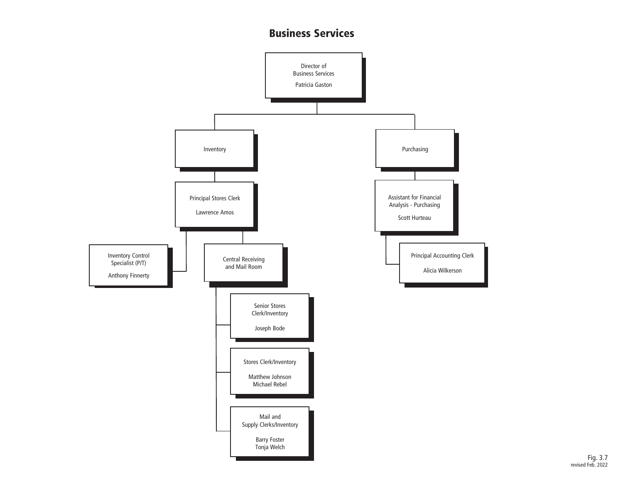#### Business Services



Fig. 3.7 revised Feb. 2022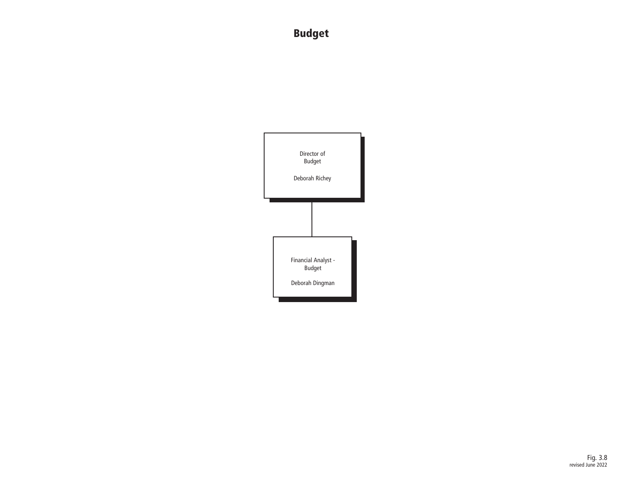# Budget

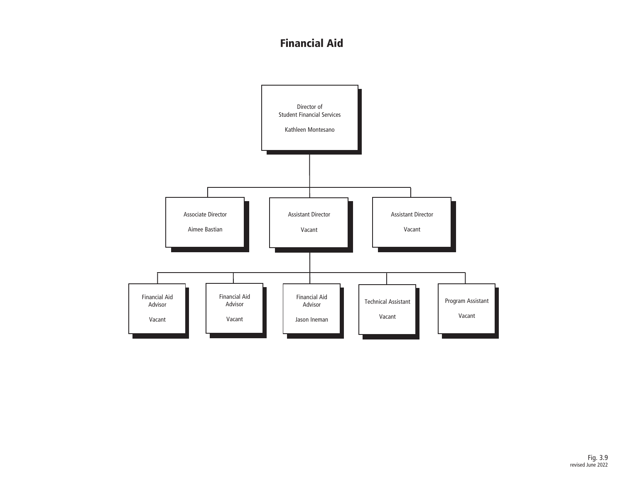### Financial Aid

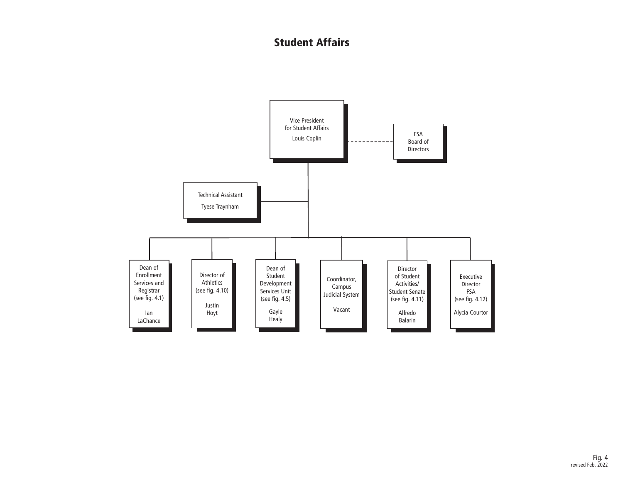### Student Affairs

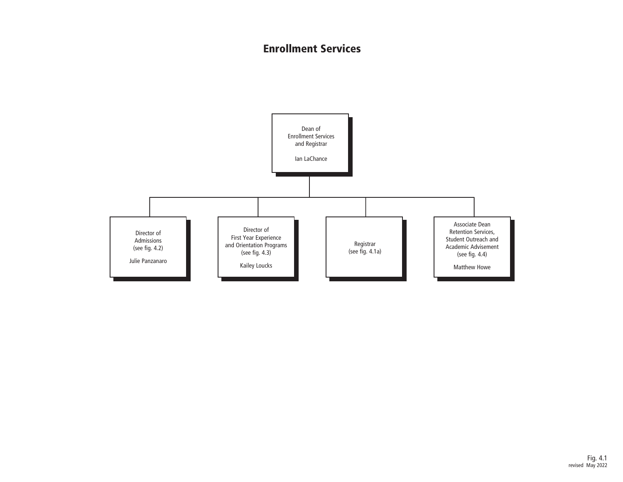### Enrollment Services

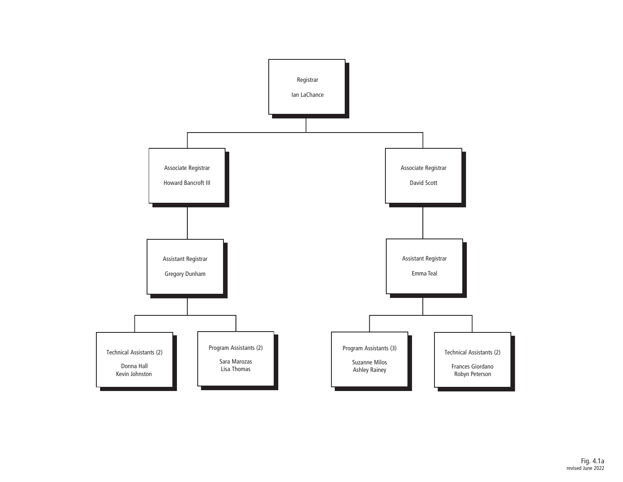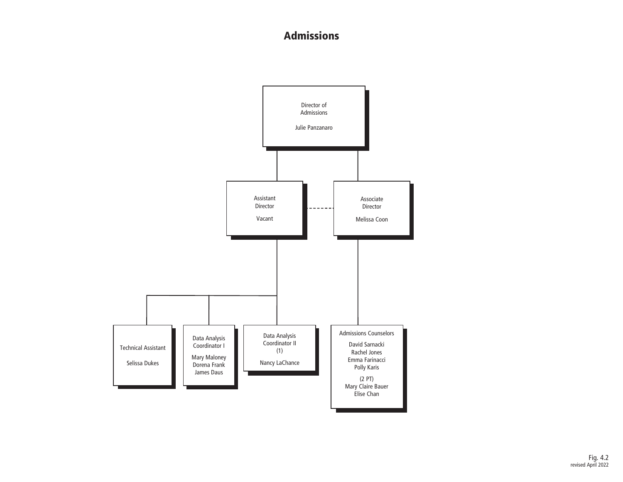### Admissions

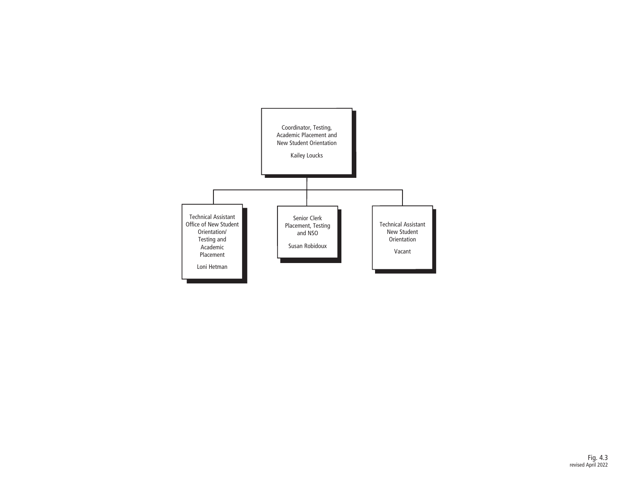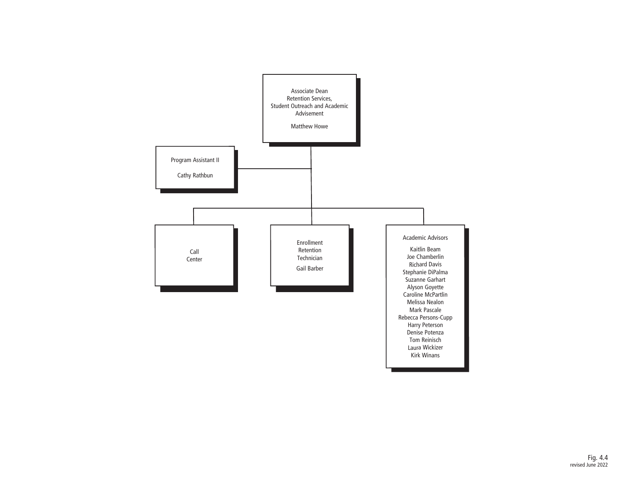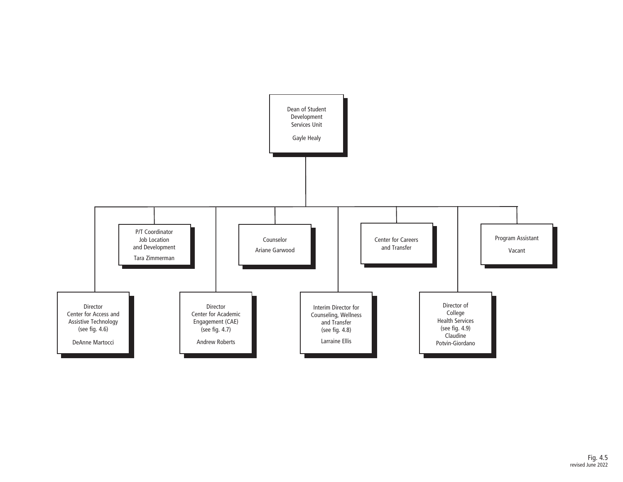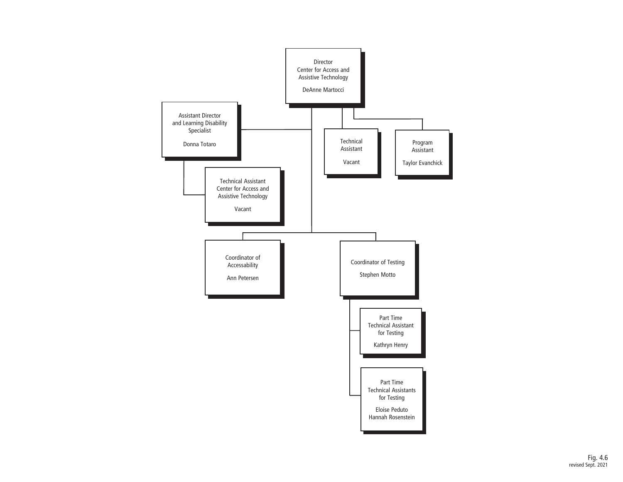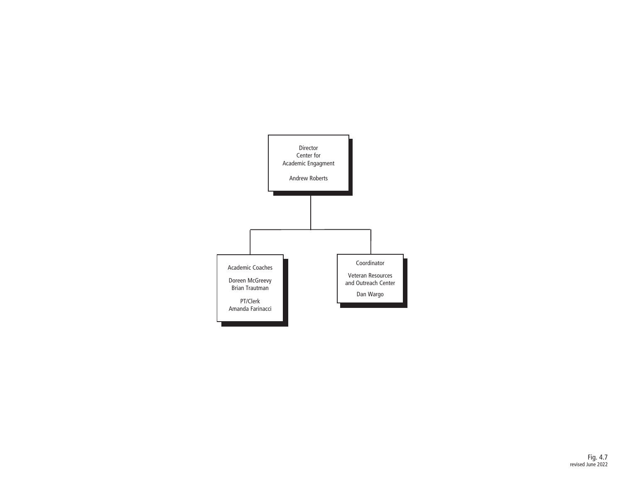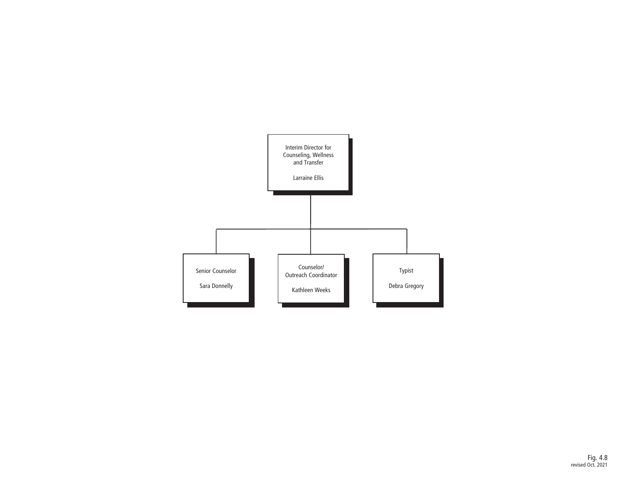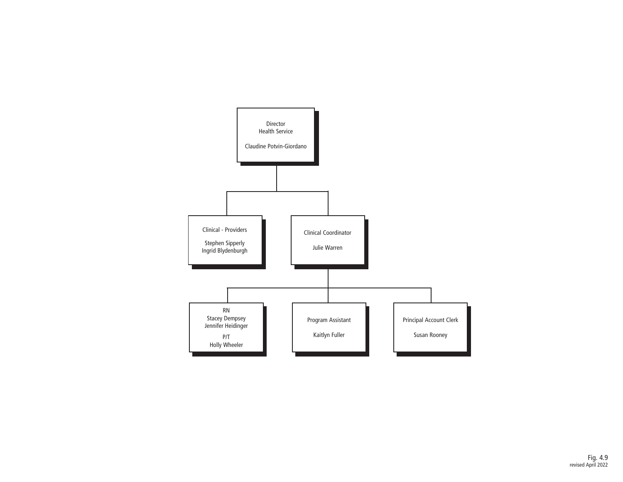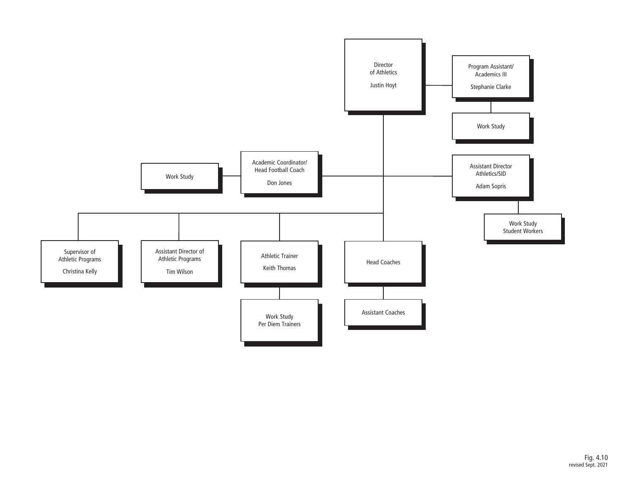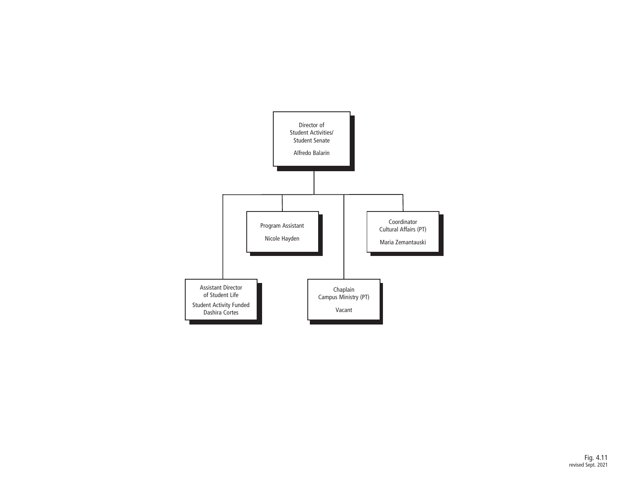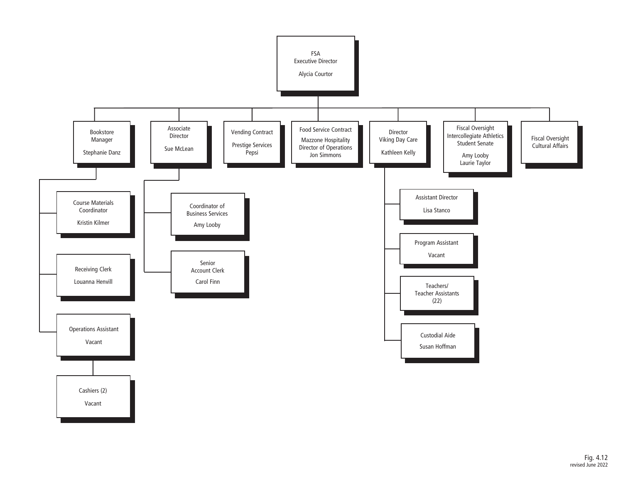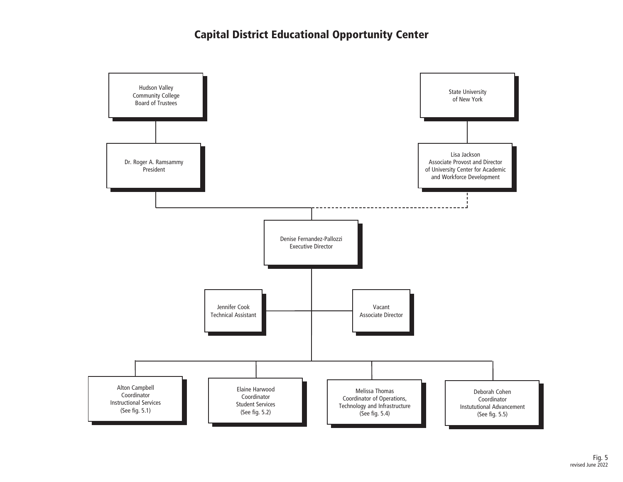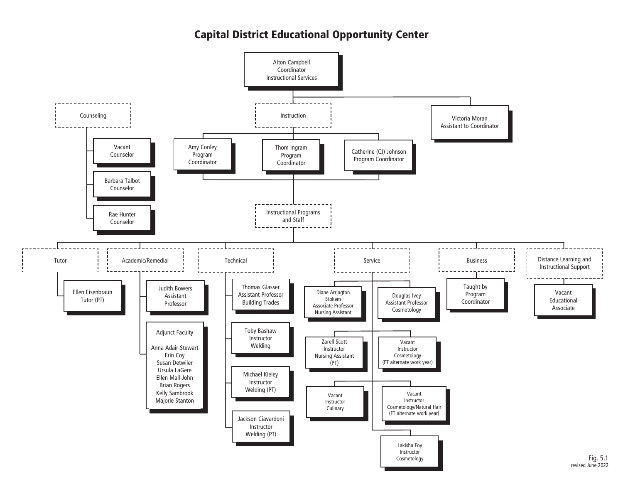### Capital District Educational Opportunity Center

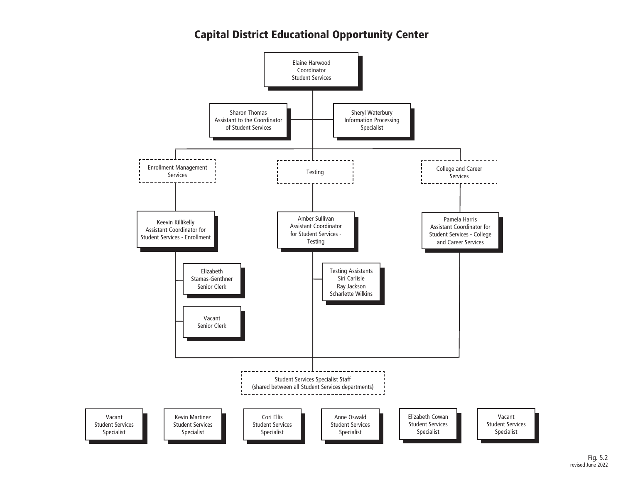## Capital District Educational Opportunity Center

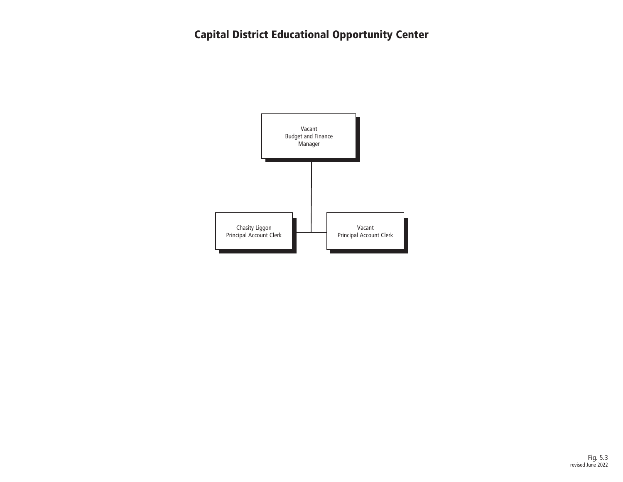# Capital District Educational Opportunity Center

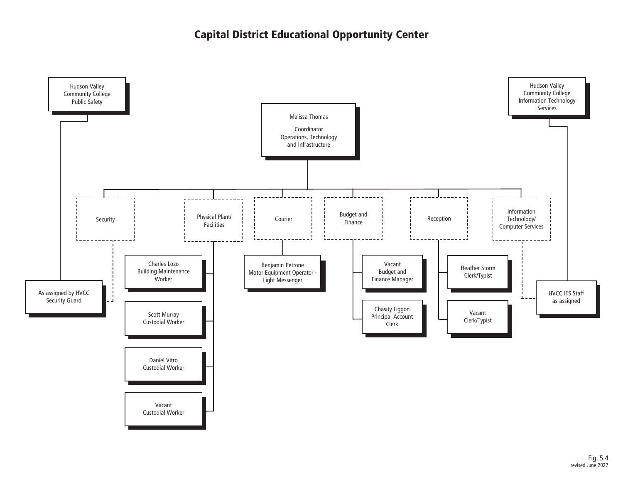